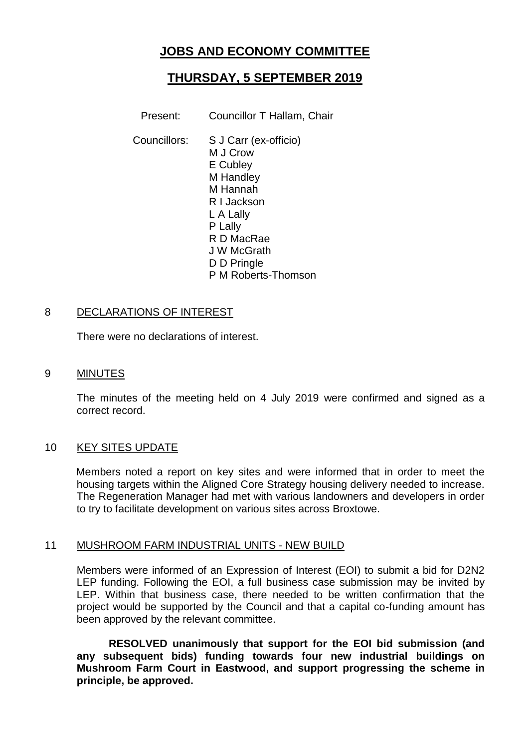# **JOBS AND ECONOMY COMMITTEE**

# **THURSDAY, 5 SEPTEMBER 2019**

Present: Councillor T Hallam, Chair

Councillors: S J Carr (ex-officio) M J Crow E Cubley M Handley M Hannah R I Jackson L A Lally P Lally R D MacRae J W McGrath D D Pringle P M Roberts-Thomson

#### 8 DECLARATIONS OF INTEREST

There were no declarations of interest.

#### 9 MINUTES

The minutes of the meeting held on 4 July 2019 were confirmed and signed as a correct record.

## 10 KEY SITES UPDATE

Members noted a report on key sites and were informed that in order to meet the housing targets within the Aligned Core Strategy housing delivery needed to increase. The Regeneration Manager had met with various landowners and developers in order to try to facilitate development on various sites across Broxtowe.

## 11 MUSHROOM FARM INDUSTRIAL UNITS - NEW BUILD

Members were informed of an Expression of Interest (EOI) to submit a bid for D2N2 LEP funding. Following the EOI, a full business case submission may be invited by LEP. Within that business case, there needed to be written confirmation that the project would be supported by the Council and that a capital co-funding amount has been approved by the relevant committee.

**RESOLVED unanimously that support for the EOI bid submission (and any subsequent bids) funding towards four new industrial buildings on Mushroom Farm Court in Eastwood, and support progressing the scheme in principle, be approved.**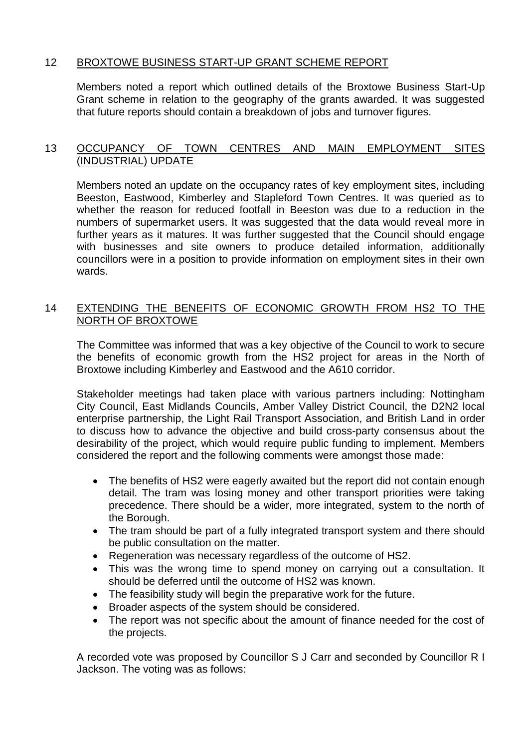# 12 BROXTOWE BUSINESS START-UP GRANT SCHEME REPORT

Members noted a report which outlined details of the Broxtowe Business Start-Up Grant scheme in relation to the geography of the grants awarded. It was suggested that future reports should contain a breakdown of jobs and turnover figures.

# 13 OCCUPANCY OF TOWN CENTRES AND MAIN EMPLOYMENT SITES (INDUSTRIAL) UPDATE

Members noted an update on the occupancy rates of key employment sites, including Beeston, Eastwood, Kimberley and Stapleford Town Centres. It was queried as to whether the reason for reduced footfall in Beeston was due to a reduction in the numbers of supermarket users. It was suggested that the data would reveal more in further years as it matures. It was further suggested that the Council should engage with businesses and site owners to produce detailed information, additionally councillors were in a position to provide information on employment sites in their own wards.

## 14 EXTENDING THE BENEFITS OF ECONOMIC GROWTH FROM HS2 TO THE NORTH OF BROXTOWE

The Committee was informed that was a key objective of the Council to work to secure the benefits of economic growth from the HS2 project for areas in the North of Broxtowe including Kimberley and Eastwood and the A610 corridor.

Stakeholder meetings had taken place with various partners including: Nottingham City Council, East Midlands Councils, Amber Valley District Council, the D2N2 local enterprise partnership, the Light Rail Transport Association, and British Land in order to discuss how to advance the objective and build cross-party consensus about the desirability of the project, which would require public funding to implement. Members considered the report and the following comments were amongst those made:

- The benefits of HS2 were eagerly awaited but the report did not contain enough detail. The tram was losing money and other transport priorities were taking precedence. There should be a wider, more integrated, system to the north of the Borough.
- The tram should be part of a fully integrated transport system and there should be public consultation on the matter.
- Regeneration was necessary regardless of the outcome of HS2.
- This was the wrong time to spend money on carrying out a consultation. It should be deferred until the outcome of HS2 was known.
- The feasibility study will begin the preparative work for the future.
- Broader aspects of the system should be considered.
- The report was not specific about the amount of finance needed for the cost of the projects.

A recorded vote was proposed by Councillor S J Carr and seconded by Councillor R I Jackson. The voting was as follows: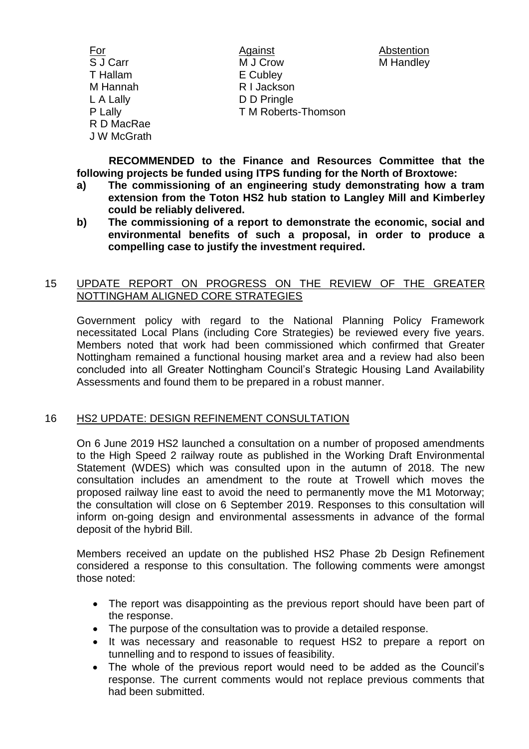For **Against** Against Abstention S J Carr M J Crow M Handley T Hallam E Cubley M Hannah R I Jackson L A Lally D D Pringle P Lally **T M Roberts-Thomson** R D MacRae J W McGrath

**RECOMMENDED to the Finance and Resources Committee that the following projects be funded using ITPS funding for the North of Broxtowe:**

- **a) The commissioning of an engineering study demonstrating how a tram extension from the Toton HS2 hub station to Langley Mill and Kimberley could be reliably delivered.**
- **b) The commissioning of a report to demonstrate the economic, social and environmental benefits of such a proposal, in order to produce a compelling case to justify the investment required.**

## 15 UPDATE REPORT ON PROGRESS ON THE REVIEW OF THE GREATER NOTTINGHAM ALIGNED CORE STRATEGIES

Government policy with regard to the National Planning Policy Framework necessitated Local Plans (including Core Strategies) be reviewed every five years. Members noted that work had been commissioned which confirmed that Greater Nottingham remained a functional housing market area and a review had also been concluded into all Greater Nottingham Council's Strategic Housing Land Availability Assessments and found them to be prepared in a robust manner.

# 16 HS2 UPDATE: DESIGN REFINEMENT CONSULTATION

On 6 June 2019 HS2 launched a consultation on a number of proposed amendments to the High Speed 2 railway route as published in the Working Draft Environmental Statement (WDES) which was consulted upon in the autumn of 2018. The new consultation includes an amendment to the route at Trowell which moves the proposed railway line east to avoid the need to permanently move the M1 Motorway; the consultation will close on 6 September 2019. Responses to this consultation will inform on-going design and environmental assessments in advance of the formal deposit of the hybrid Bill.

Members received an update on the published HS2 Phase 2b Design Refinement considered a response to this consultation. The following comments were amongst those noted:

- The report was disappointing as the previous report should have been part of the response.
- The purpose of the consultation was to provide a detailed response.
- It was necessary and reasonable to request HS2 to prepare a report on tunnelling and to respond to issues of feasibility.
- The whole of the previous report would need to be added as the Council's response. The current comments would not replace previous comments that had been submitted.